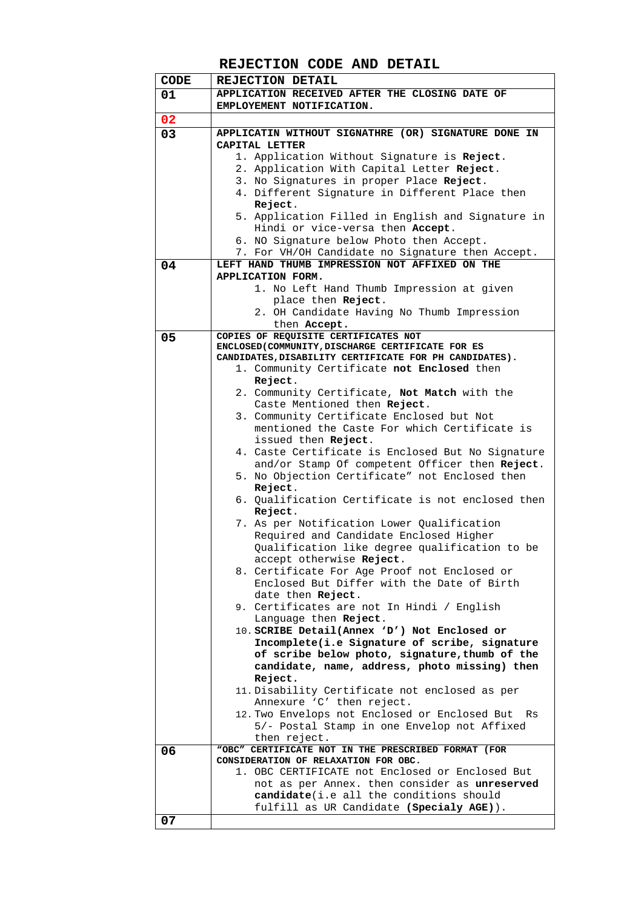## **REJECTION CODE AND DETAIL**

| <b>CODE</b> | REJECTION DETAIL                                                                                |
|-------------|-------------------------------------------------------------------------------------------------|
| 01          | APPLICATION RECEIVED AFTER THE CLOSING DATE OF                                                  |
|             | EMPLOYEMENT NOTIFICATION.                                                                       |
| 02          |                                                                                                 |
| 03          | APPLICATIN WITHOUT SIGNATHRE (OR) SIGNATURE DONE IN                                             |
|             | CAPITAL LETTER                                                                                  |
|             | 1. Application Without Signature is Reject.                                                     |
|             | 2. Application With Capital Letter Reject.                                                      |
|             | 3. No Signatures in proper Place Reject.<br>4. Different Signature in Different Place then      |
|             | Reject.                                                                                         |
|             | 5. Application Filled in English and Signature in                                               |
|             | Hindi or vice-versa then Accept.                                                                |
|             | 6. NO Signature below Photo then Accept.                                                        |
|             | 7. For VH/OH Candidate no Signature then Accept.                                                |
| 04          | LEFT HAND THUMB IMPRESSION NOT AFFIXED ON THE                                                   |
|             | APPLICATION FORM.                                                                               |
|             | 1. No Left Hand Thumb Impression at given                                                       |
|             | place then Reject.                                                                              |
|             | 2. OH Candidate Having No Thumb Impression<br>then Accept.                                      |
| 05          | COPIES OF REQUISITE CERTIFICATES NOT                                                            |
|             | ENCLOSED (COMMUNITY, DISCHARGE CERTIFICATE FOR ES                                               |
|             | CANDIDATES, DISABILITY CERTIFICATE FOR PH CANDIDATES).                                          |
|             | 1. Community Certificate not Enclosed then                                                      |
|             | Reject.                                                                                         |
|             | 2. Community Certificate, Not Match with the                                                    |
|             | Caste Mentioned then Reject.<br>3. Community Certificate Enclosed but Not                       |
|             | mentioned the Caste For which Certificate is                                                    |
|             | issued then Reject.                                                                             |
|             | 4. Caste Certificate is Enclosed But No Signature                                               |
|             | and/or Stamp Of competent Officer then Reject.                                                  |
|             | 5. No Objection Certificate" not Enclosed then                                                  |
|             | Reject.                                                                                         |
|             | 6. Qualification Certificate is not enclosed then                                               |
|             | Reject.                                                                                         |
|             | 7. As per Notification Lower Qualification<br>Required and Candidate Enclosed Higher            |
|             | Qualification like degree qualification to be                                                   |
|             | accept otherwise Reject.                                                                        |
|             | 8. Certificate For Age Proof not Enclosed or                                                    |
|             | Enclosed But Differ with the Date of Birth                                                      |
|             | date then Reject.                                                                               |
|             | 9. Certificates are not In Hindi / English                                                      |
|             | Language then Reject.                                                                           |
|             | 10. SCRIBE Detail(Annex 'D') Not Enclosed or                                                    |
|             | Incomplete(i.e Signature of scribe, signature<br>of scribe below photo, signature, thumb of the |
|             | candidate, name, address, photo missing) then                                                   |
|             | Reject.                                                                                         |
|             | 11. Disability Certificate not enclosed as per                                                  |
|             | Annexure 'C' then reject.                                                                       |
|             | 12. Two Envelops not Enclosed or Enclosed But<br>Rs                                             |
|             | 5/- Postal Stamp in one Envelop not Affixed                                                     |
|             | then reject.                                                                                    |
| 06          | "OBC" CERTIFICATE NOT IN THE PRESCRIBED FORMAT (FOR<br>CONSIDERATION OF RELAXATION FOR OBC.     |
|             | 1. OBC CERTIFICATE not Enclosed or Enclosed But                                                 |
|             | not as per Annex. then consider as unreserved                                                   |
|             | <b>candidate</b> (i.e all the conditions should                                                 |
|             | fulfill as UR Candidate (Specialy AGE)).                                                        |
| 07          |                                                                                                 |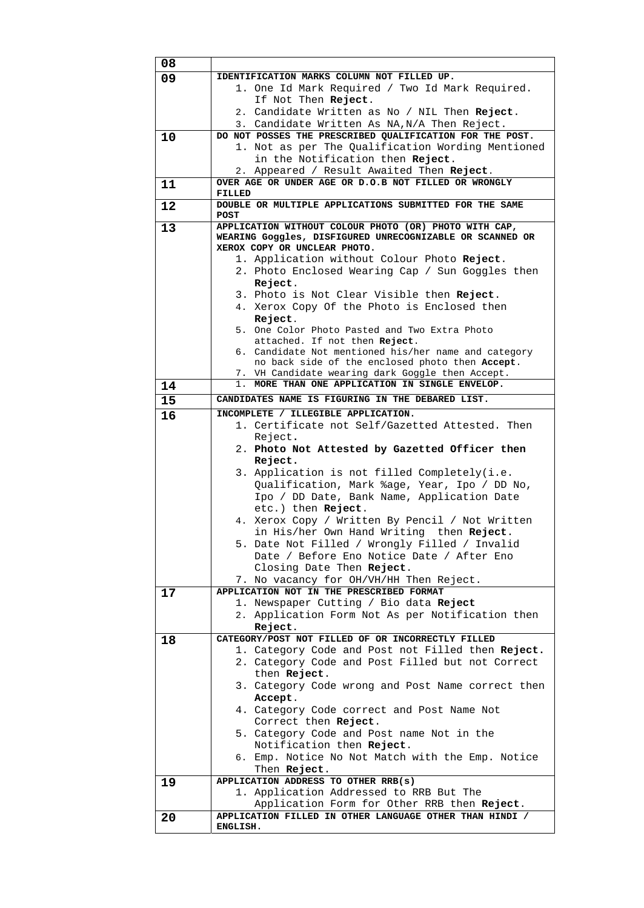| 08 |                                                                                                         |
|----|---------------------------------------------------------------------------------------------------------|
| 09 | IDENTIFICATION MARKS COLUMN NOT FILLED UP.                                                              |
|    | 1. One Id Mark Required / Two Id Mark Required.                                                         |
|    | If Not Then Reject.                                                                                     |
|    | 2. Candidate Written as No / NIL Then Reject.                                                           |
|    | 3. Candidate Written As NA, N/A Then Reject.                                                            |
| 10 | DO NOT POSSES THE PRESCRIBED QUALIFICATION FOR THE POST.                                                |
|    | 1. Not as per The Qualification Wording Mentioned                                                       |
|    | in the Notification then Reject.<br>2. Appeared / Result Awaited Then Reject.                           |
| 11 | OVER AGE OR UNDER AGE OR D.O.B NOT FILLED OR WRONGLY                                                    |
|    | FILLED                                                                                                  |
| 12 | DOUBLE OR MULTIPLE APPLICATIONS SUBMITTED FOR THE SAME                                                  |
|    | <b>POST</b>                                                                                             |
| 13 | APPLICATION WITHOUT COLOUR PHOTO (OR) PHOTO WITH CAP,                                                   |
|    | WEARING Goggles, DISFIGURED UNRECOGNIZABLE OR SCANNED OR<br>XEROX COPY OR UNCLEAR PHOTO.                |
|    | 1. Application without Colour Photo Reject.                                                             |
|    | 2. Photo Enclosed Wearing Cap / Sun Goggles then                                                        |
|    | Reject.                                                                                                 |
|    | 3. Photo is Not Clear Visible then Reject.                                                              |
|    | 4. Xerox Copy Of the Photo is Enclosed then                                                             |
|    | Reject.                                                                                                 |
|    | 5. One Color Photo Pasted and Two Extra Photo                                                           |
|    | attached. If not then Reject.                                                                           |
|    | 6. Candidate Not mentioned his/her name and category<br>no back side of the enclosed photo then Accept. |
|    | 7. VH Candidate wearing dark Goggle then Accept.                                                        |
| 14 | 1. MORE THAN ONE APPLICATION IN SINGLE ENVELOP.                                                         |
| 15 | CANDIDATES NAME IS FIGURING IN THE DEBARED LIST.                                                        |
| 16 | INCOMPLETE / ILLEGIBLE APPLICATION.                                                                     |
|    | 1. Certificate not Self/Gazetted Attested. Then                                                         |
|    | Reject.                                                                                                 |
|    | 2. Photo Not Attested by Gazetted Officer then                                                          |
|    | Reject.                                                                                                 |
|    |                                                                                                         |
|    | 3. Application is not filled Completely(i.e.                                                            |
|    | Qualification, Mark %age, Year, Ipo / DD No,                                                            |
|    | Ipo / DD Date, Bank Name, Application Date                                                              |
|    | etc.) then Reject.                                                                                      |
|    | 4. Xerox Copy / Written By Pencil / Not Written                                                         |
|    | in His/her Own Hand Writing then Reject.                                                                |
|    | 5. Date Not Filled / Wrongly Filled / Invalid                                                           |
|    | Date / Before Eno Notice Date / After Eno                                                               |
|    | Closing Date Then Reject.<br>7. No vacancy for OH/VH/HH Then Reject.                                    |
| 17 | APPLICATION NOT IN THE PRESCRIBED FORMAT                                                                |
|    | 1. Newspaper Cutting / Bio data Reject                                                                  |
|    | 2. Application Form Not As per Notification then                                                        |
|    | Reject.                                                                                                 |
| 18 | CATEGORY/POST NOT FILLED OF OR INCORRECTLY FILLED                                                       |
|    | 1. Category Code and Post not Filled then Reject.                                                       |
|    | 2. Category Code and Post Filled but not Correct<br>then Reject.                                        |
|    | 3. Category Code wrong and Post Name correct then                                                       |
|    | Accept.                                                                                                 |
|    | 4. Category Code correct and Post Name Not                                                              |
|    | Correct then Reject.                                                                                    |
|    | 5. Category Code and Post name Not in the                                                               |
|    | Notification then Reject.                                                                               |
|    | 6. Emp. Notice No Not Match with the Emp. Notice                                                        |
|    | Then Reject.                                                                                            |
| 19 | APPLICATION ADDRESS TO OTHER RRB(s)                                                                     |
|    | 1. Application Addressed to RRB But The                                                                 |
| 20 | Application Form for Other RRB then Reject.<br>APPLICATION FILLED IN OTHER LANGUAGE OTHER THAN HINDI /  |